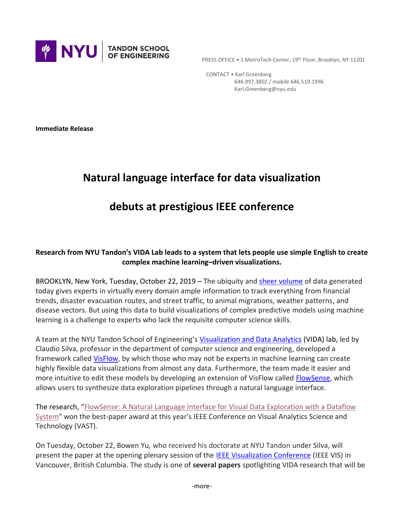

PRESS OFFICE . 1 MetroTech Center, 19th Floor, Brooklyn, NY 11201

 CONTACT • Karl Greenberg 646.997.3802 / mobile 646.519.1996 Karl.Greenberg@nyu.edu

**Immediate Release**

## **Natural language interface for data visualization**

## **debuts at prestigious IEEE conference**

## **Research from NYU Tandon's VIDA Lab leads to a system that lets people use simple English to create complex machine learning–driven visualizations.**

BROOKLYN, New York, Tuesday, October 22, 2019 – The ubiquity and [sheer volume](https://www.domo.com/learn/data-never-sleeps-5?aid=ogsm072517_1&sf100871281=1) of data generated today gives experts in virtually every domain ample information to track everything from financial trends, disaster evacuation routes, and street traffic, to animal migrations, weather patterns, and disease vectors. But using this data to build visualizations of complex predictive models using machine learning is a challenge to experts who lack the requisite computer science skills.

A team at the NYU Tandon School of Engineering's [Visualization and Data Analytics](https://vida.engineering.nyu.edu/) (VIDA) lab, led by Claudio Silva, professor in the department of computer science and engineering, developed a framework calle[d VisFlow,](https://visflow.org/) by which those who may not be experts in machine learning can create highly flexible data visualizations from almost any data. Furthermore, the team made it easier and more intuitive to edit these models by developing an extension of VisFlow called [FlowSense,](https://visflow.org/flowsense/) which allows users to synthesize data exploration pipelines through a natural language interface.

The research, "[FlowSense: A Natural Language Interface for Visual Data Exploration with a Dataflow](https://www.dropbox.com/s/gqs6p3ibtap7n80/vis19a-sub1043-cam-i7.pdf?dl=0)  [System"](https://www.dropbox.com/s/gqs6p3ibtap7n80/vis19a-sub1043-cam-i7.pdf?dl=0) won the best-paper award at this year's IEEE Conference on Visual Analytics Science and Technology (VAST).

On Tuesday, October 22, Bowen Yu, who received his doctorate at NYU Tandon under Silva, will present the paper at the opening plenary session of the [IEEE Visualization Conference](http://ieeevis.org/year/2019/welcome) (IEEE VIS) in Vancouver, British Columbia. The study is one of **several papers** spotlighting VIDA research that will be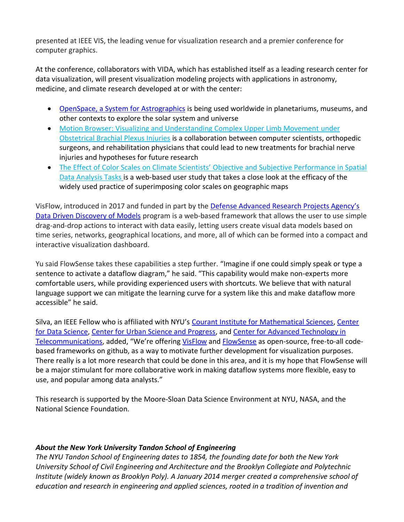presented at IEEE VIS, the leading venue for visualization research and a premier conference for computer graphics.

At the conference, collaborators with VIDA, which has established itself as a leading research center for data visualization, will present visualization modeling projects with applications in astronomy, medicine, and climate research developed at or with the center:

- OpenSpace, [a System for Astrographics](https://vimeo.com/359998824) is being used worldwide in planetariums, museums, and other contexts to explore the solar system and universe
- [Motion Browser: Visualizing and Understanding Complex Upper Limb Movement under](https://vimeo.com/360155635)  [Obstetrical Brachial Plexus Injuries](https://vimeo.com/360155635) is a collaboration between computer scientists, orthopedic surgeons, and rehabilitation physicians that could lead to new treatments for brachial nerve injuries and hypotheses for future research
- The Effect of Color Scales on Climate Scientists' Objective and Subjective Performance in Spatial [Data Analysis Tasks](https://vimeo.com/364568438) is a web-based user study that takes a close look at the efficacy of the widely used practice of superimposing color scales on geographic maps

VisFlow, introduced in 2017 and funded in part by the Defense Adv[anced Research Projects Agency's](https://www.darpa.mil/program/data-driven-discovery-of-models)  [Data Driven Discovery of Models](https://www.darpa.mil/program/data-driven-discovery-of-models) program is a web-based framework that allows the user to use simple drag-and-drop actions to interact with data easily, letting users create visual data models based on time series, networks, geographical locations, and more, all of which can be formed into a compact and interactive visualization dashboard.

Yu said FlowSense takes these capabilities a step further. "Imagine if one could simply speak or type a sentence to activate a dataflow diagram," he said. "This capability would make non-experts more comfortable users, while providing experienced users with shortcuts. We believe that with natural language support we can mitigate the learning curve for a system like this and make dataflow more accessible" he said.

Silva, an IEEE Fellow who is affiliated with NYU's [Courant Institute for Mathematical Sciences,](https://cims.nyu.edu/) [Center](https://cds.nyu.edu/)  [for Data Science,](https://cds.nyu.edu/) [Center for Urban Science and Progress,](https://cusp.nyu.edu/) and [Center for Advanced Technology in](https://engineering.nyu.edu/research-innovation/centers-and-institutes/center-advanced-technology-telecommunications-catt)  [Telecommunications,](https://engineering.nyu.edu/research-innovation/centers-and-institutes/center-advanced-technology-telecommunications-catt) added, "We're offering [VisFlow](https://github.com/yubowenok/visflow) and [FlowSense](https://github.com/yubowenok/flowsense) as open-source, free-to-all codebased frameworks on github, as a way to motivate further development for visualization purposes. There really is a lot more research that could be done in this area, and it is my hope that FlowSense will be a major stimulant for more collaborative work in making dataflow systems more flexible, easy to use, and popular among data analysts."

This research is supported by the Moore-Sloan Data Science Environment at NYU, NASA, and the National Science Foundation.

## *About the New York University Tandon School of Engineering*

*The NYU Tandon School of Engineering dates to 1854, the founding date for both the New York University School of Civil Engineering and Architecture and the Brooklyn Collegiate and Polytechnic Institute (widely known as Brooklyn Poly). A January 2014 merger created a comprehensive school of education and research in engineering and applied sciences, rooted in a tradition of invention and*